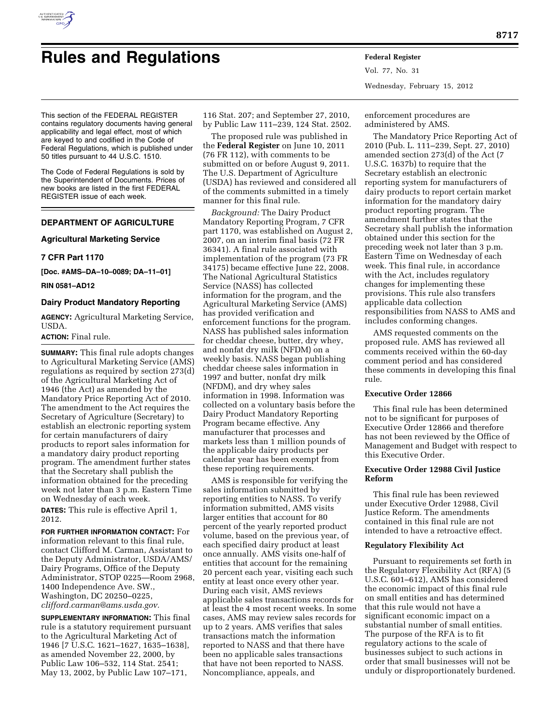

# **Rules and Regulations Federal Register**

This section of the FEDERAL REGISTER contains regulatory documents having general applicability and legal effect, most of which are keyed to and codified in the Code of Federal Regulations, which is published under 50 titles pursuant to 44 U.S.C. 1510.

The Code of Federal Regulations is sold by the Superintendent of Documents. Prices of new books are listed in the first FEDERAL REGISTER issue of each week.

# **DEPARTMENT OF AGRICULTURE**

## **Agricultural Marketing Service**

## **7 CFR Part 1170**

**[Doc. #AMS–DA–10–0089; DA–11–01]** 

## **RIN 0581–AD12**

# **Dairy Product Mandatory Reporting**

**AGENCY:** Agricultural Marketing Service, USDA.

## **ACTION:** Final rule.

**SUMMARY:** This final rule adopts changes to Agricultural Marketing Service (AMS) regulations as required by section 273(d) of the Agricultural Marketing Act of 1946 (the Act) as amended by the Mandatory Price Reporting Act of 2010. The amendment to the Act requires the Secretary of Agriculture (Secretary) to establish an electronic reporting system for certain manufacturers of dairy products to report sales information for a mandatory dairy product reporting program. The amendment further states that the Secretary shall publish the information obtained for the preceding week not later than 3 p.m. Eastern Time on Wednesday of each week.

**DATES:** This rule is effective April 1, 2012.

**FOR FURTHER INFORMATION CONTACT:** For information relevant to this final rule, contact Clifford M. Carman, Assistant to the Deputy Administrator, USDA/AMS/ Dairy Programs, Office of the Deputy Administrator, STOP 0225—Room 2968, 1400 Independence Ave. SW., Washington, DC 20250–0225, *[clifford.carman@ams.usda.gov.](mailto:clifford.carman@ams.usda.gov)* 

**SUPPLEMENTARY INFORMATION:** This final rule is a statutory requirement pursuant to the Agricultural Marketing Act of 1946 [7 U.S.C. 1621–1627, 1635–1638], as amended November 22, 2000, by Public Law 106–532, 114 Stat. 2541; May 13, 2002, by Public Law 107–171,

116 Stat. 207; and September 27, 2010, by Public Law 111–239, 124 Stat. 2502.

The proposed rule was published in the **Federal Register** on June 10, 2011 (76 FR 112), with comments to be submitted on or before August 9, 2011. The U.S. Department of Agriculture (USDA) has reviewed and considered all of the comments submitted in a timely manner for this final rule.

*Background:* The Dairy Product Mandatory Reporting Program, 7 CFR part 1170, was established on August 2, 2007, on an interim final basis (72 FR 36341). A final rule associated with implementation of the program (73 FR 34175) became effective June 22, 2008. The National Agricultural Statistics Service (NASS) has collected information for the program, and the Agricultural Marketing Service (AMS) has provided verification and enforcement functions for the program. NASS has published sales information for cheddar cheese, butter, dry whey, and nonfat dry milk (NFDM) on a weekly basis. NASS began publishing cheddar cheese sales information in 1997 and butter, nonfat dry milk (NFDM), and dry whey sales information in 1998. Information was collected on a voluntary basis before the Dairy Product Mandatory Reporting Program became effective. Any manufacturer that processes and markets less than 1 million pounds of the applicable dairy products per calendar year has been exempt from these reporting requirements.

AMS is responsible for verifying the sales information submitted by reporting entities to NASS. To verify information submitted, AMS visits larger entities that account for 80 percent of the yearly reported product volume, based on the previous year, of each specified dairy product at least once annually. AMS visits one-half of entities that account for the remaining 20 percent each year, visiting each such entity at least once every other year. During each visit, AMS reviews applicable sales transactions records for at least the 4 most recent weeks. In some cases, AMS may review sales records for up to 2 years. AMS verifies that sales transactions match the information reported to NASS and that there have been no applicable sales transactions that have not been reported to NASS. Noncompliance, appeals, and

Vol. 77, No. 31 Wednesday, February 15, 2012

enforcement procedures are administered by AMS.

The Mandatory Price Reporting Act of 2010 (Pub. L. 111–239, Sept. 27, 2010) amended section 273(d) of the Act (7 U.S.C. 1637b) to require that the Secretary establish an electronic reporting system for manufacturers of dairy products to report certain market information for the mandatory dairy product reporting program. The amendment further states that the Secretary shall publish the information obtained under this section for the preceding week not later than 3 p.m. Eastern Time on Wednesday of each week. This final rule, in accordance with the Act, includes regulatory changes for implementing these provisions. This rule also transfers applicable data collection responsibilities from NASS to AMS and includes conforming changes.

AMS requested comments on the proposed rule. AMS has reviewed all comments received within the 60-day comment period and has considered these comments in developing this final rule.

### **Executive Order 12866**

This final rule has been determined not to be significant for purposes of Executive Order 12866 and therefore has not been reviewed by the Office of Management and Budget with respect to this Executive Order.

### **Executive Order 12988 Civil Justice Reform**

This final rule has been reviewed under Executive Order 12988, Civil Justice Reform. The amendments contained in this final rule are not intended to have a retroactive effect.

## **Regulatory Flexibility Act**

Pursuant to requirements set forth in the Regulatory Flexibility Act (RFA) (5 U.S.C. 601–612), AMS has considered the economic impact of this final rule on small entities and has determined that this rule would not have a significant economic impact on a substantial number of small entities. The purpose of the RFA is to fit regulatory actions to the scale of businesses subject to such actions in order that small businesses will not be unduly or disproportionately burdened.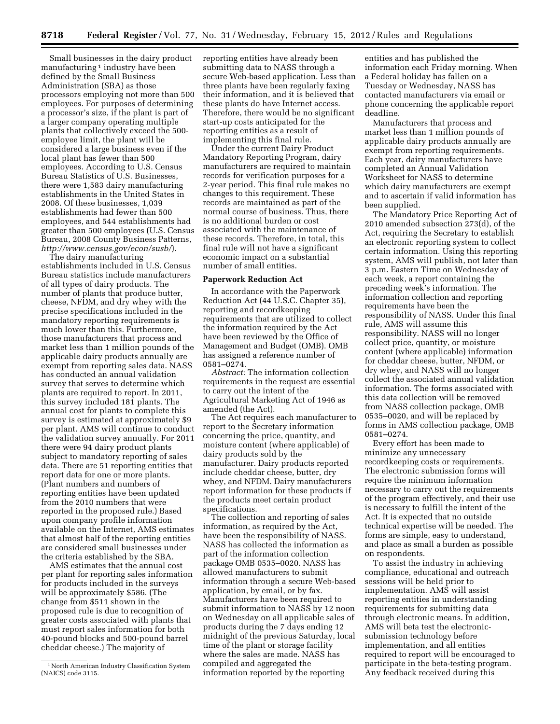Small businesses in the dairy product manufacturing<sup>1</sup> industry have been defined by the Small Business Administration (SBA) as those processors employing not more than 500 employees. For purposes of determining a processor's size, if the plant is part of a larger company operating multiple plants that collectively exceed the 500 employee limit, the plant will be considered a large business even if the local plant has fewer than 500 employees. According to U.S. Census Bureau Statistics of U.S. Businesses, there were 1,583 dairy manufacturing establishments in the United States in 2008. Of these businesses, 1,039 establishments had fewer than 500 employees, and 544 establishments had greater than 500 employees (U.S. Census Bureau, 2008 County Business Patterns, *<http://www.census.gov/econ/susb/>*).

The dairy manufacturing establishments included in U.S. Census Bureau statistics include manufacturers of all types of dairy products. The number of plants that produce butter, cheese, NFDM, and dry whey with the precise specifications included in the mandatory reporting requirements is much lower than this. Furthermore, those manufacturers that process and market less than 1 million pounds of the applicable dairy products annually are exempt from reporting sales data. NASS has conducted an annual validation survey that serves to determine which plants are required to report. In 2011, this survey included 181 plants. The annual cost for plants to complete this survey is estimated at approximately \$9 per plant. AMS will continue to conduct the validation survey annually. For 2011 there were 94 dairy product plants subject to mandatory reporting of sales data. There are 51 reporting entities that report data for one or more plants. (Plant numbers and numbers of reporting entities have been updated from the 2010 numbers that were reported in the proposed rule.) Based upon company profile information available on the Internet, AMS estimates that almost half of the reporting entities are considered small businesses under the criteria established by the SBA.

AMS estimates that the annual cost per plant for reporting sales information for products included in the surveys will be approximately \$586. (The change from \$511 shown in the proposed rule is due to recognition of greater costs associated with plants that must report sales information for both 40-pound blocks and 500-pound barrel cheddar cheese.) The majority of

reporting entities have already been submitting data to NASS through a secure Web-based application. Less than three plants have been regularly faxing their information, and it is believed that these plants do have Internet access. Therefore, there would be no significant start-up costs anticipated for the reporting entities as a result of implementing this final rule.

Under the current Dairy Product Mandatory Reporting Program, dairy manufacturers are required to maintain records for verification purposes for a 2-year period. This final rule makes no changes to this requirement. These records are maintained as part of the normal course of business. Thus, there is no additional burden or cost associated with the maintenance of these records. Therefore, in total, this final rule will not have a significant economic impact on a substantial number of small entities.

## **Paperwork Reduction Act**

In accordance with the Paperwork Reduction Act (44 U.S.C. Chapter 35), reporting and recordkeeping requirements that are utilized to collect the information required by the Act have been reviewed by the Office of Management and Budget (OMB). OMB has assigned a reference number of 0581–0274.

*Abstract:* The information collection requirements in the request are essential to carry out the intent of the Agricultural Marketing Act of 1946 as amended (the Act).

The Act requires each manufacturer to report to the Secretary information concerning the price, quantity, and moisture content (where applicable) of dairy products sold by the manufacturer. Dairy products reported include cheddar cheese, butter, dry whey, and NFDM. Dairy manufacturers report information for these products if the products meet certain product specifications.

The collection and reporting of sales information, as required by the Act, have been the responsibility of NASS. NASS has collected the information as part of the information collection package OMB 0535–0020. NASS has allowed manufacturers to submit information through a secure Web-based application, by email, or by fax. Manufacturers have been required to submit information to NASS by 12 noon on Wednesday on all applicable sales of products during the 7 days ending 12 midnight of the previous Saturday, local time of the plant or storage facility where the sales are made. NASS has compiled and aggregated the information reported by the reporting

entities and has published the information each Friday morning. When a Federal holiday has fallen on a Tuesday or Wednesday, NASS has contacted manufacturers via email or phone concerning the applicable report deadline.

Manufacturers that process and market less than 1 million pounds of applicable dairy products annually are exempt from reporting requirements. Each year, dairy manufacturers have completed an Annual Validation Worksheet for NASS to determine which dairy manufacturers are exempt and to ascertain if valid information has been supplied.

The Mandatory Price Reporting Act of 2010 amended subsection 273(d), of the Act, requiring the Secretary to establish an electronic reporting system to collect certain information. Using this reporting system, AMS will publish, not later than 3 p.m. Eastern Time on Wednesday of each week, a report containing the preceding week's information. The information collection and reporting requirements have been the responsibility of NASS. Under this final rule, AMS will assume this responsibility. NASS will no longer collect price, quantity, or moisture content (where applicable) information for cheddar cheese, butter, NFDM, or dry whey, and NASS will no longer collect the associated annual validation information. The forms associated with this data collection will be removed from NASS collection package, OMB 0535–0020, and will be replaced by forms in AMS collection package, OMB 0581–0274.

Every effort has been made to minimize any unnecessary recordkeeping costs or requirements. The electronic submission forms will require the minimum information necessary to carry out the requirements of the program effectively, and their use is necessary to fulfill the intent of the Act. It is expected that no outside technical expertise will be needed. The forms are simple, easy to understand, and place as small a burden as possible on respondents.

To assist the industry in achieving compliance, educational and outreach sessions will be held prior to implementation. AMS will assist reporting entities in understanding requirements for submitting data through electronic means. In addition, AMS will beta test the electronicsubmission technology before implementation, and all entities required to report will be encouraged to participate in the beta-testing program. Any feedback received during this

<sup>&</sup>lt;sup>1</sup> North American Industry Classification System (NAICS) code 3115.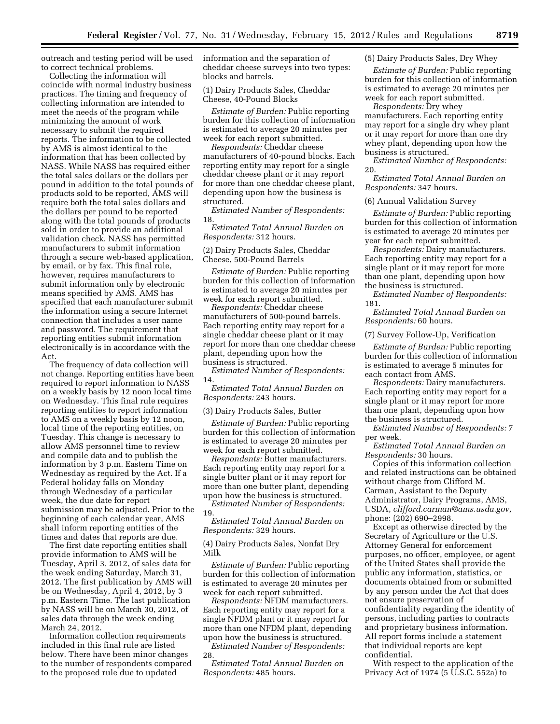outreach and testing period will be used to correct technical problems.

Collecting the information will coincide with normal industry business practices. The timing and frequency of collecting information are intended to meet the needs of the program while minimizing the amount of work necessary to submit the required reports. The information to be collected by AMS is almost identical to the information that has been collected by NASS. While NASS has required either the total sales dollars or the dollars per pound in addition to the total pounds of products sold to be reported, AMS will require both the total sales dollars and the dollars per pound to be reported along with the total pounds of products sold in order to provide an additional validation check. NASS has permitted manufacturers to submit information through a secure web-based application, by email, or by fax. This final rule, however, requires manufacturers to submit information only by electronic means specified by AMS. AMS has specified that each manufacturer submit the information using a secure Internet connection that includes a user name and password. The requirement that reporting entities submit information electronically is in accordance with the Act.

The frequency of data collection will not change. Reporting entities have been required to report information to NASS on a weekly basis by 12 noon local time on Wednesday. This final rule requires reporting entities to report information to AMS on a weekly basis by 12 noon, local time of the reporting entities, on Tuesday. This change is necessary to allow AMS personnel time to review and compile data and to publish the information by 3 p.m. Eastern Time on Wednesday as required by the Act. If a Federal holiday falls on Monday through Wednesday of a particular week, the due date for report submission may be adjusted. Prior to the beginning of each calendar year, AMS shall inform reporting entities of the times and dates that reports are due.

The first date reporting entities shall provide information to AMS will be Tuesday, April 3, 2012, of sales data for the week ending Saturday, March 31, 2012. The first publication by AMS will be on Wednesday, April 4, 2012, by 3 p.m. Eastern Time. The last publication by NASS will be on March 30, 2012, of sales data through the week ending March 24, 2012.

Information collection requirements included in this final rule are listed below. There have been minor changes to the number of respondents compared to the proposed rule due to updated

information and the separation of cheddar cheese surveys into two types: blocks and barrels.

(1) Dairy Products Sales, Cheddar Cheese, 40-Pound Blocks

*Estimate of Burden:* Public reporting burden for this collection of information is estimated to average 20 minutes per week for each report submitted.

*Respondents:* Cheddar cheese manufacturers of 40-pound blocks. Each reporting entity may report for a single cheddar cheese plant or it may report for more than one cheddar cheese plant, depending upon how the business is structured.

*Estimated Number of Respondents:*  18.

*Estimated Total Annual Burden on Respondents:* 312 hours.

(2) Dairy Products Sales, Cheddar Cheese, 500-Pound Barrels

*Estimate of Burden:* Public reporting burden for this collection of information is estimated to average 20 minutes per week for each report submitted.

*Respondents:* Cheddar cheese manufacturers of 500-pound barrels. Each reporting entity may report for a single cheddar cheese plant or it may report for more than one cheddar cheese plant, depending upon how the business is structured.

*Estimated Number of Respondents:*  14.

*Estimated Total Annual Burden on Respondents:* 243 hours.

(3) Dairy Products Sales, Butter

*Estimate of Burden:* Public reporting burden for this collection of information is estimated to average 20 minutes per week for each report submitted.

*Respondents:* Butter manufacturers. Each reporting entity may report for a single butter plant or it may report for more than one butter plant, depending upon how the business is structured.

*Estimated Number of Respondents:*  19.

*Estimated Total Annual Burden on Respondents:* 329 hours.

(4) Dairy Products Sales, Nonfat Dry Milk

*Estimate of Burden:* Public reporting burden for this collection of information is estimated to average 20 minutes per week for each report submitted.

*Respondents:* NFDM manufacturers. Each reporting entity may report for a single NFDM plant or it may report for more than one NFDM plant, depending upon how the business is structured.

*Estimated Number of Respondents:*  28.

*Estimated Total Annual Burden on Respondents:* 485 hours.

# (5) Dairy Products Sales, Dry Whey

*Estimate of Burden:* Public reporting burden for this collection of information is estimated to average 20 minutes per week for each report submitted.

*Respondents:* Dry whey manufacturers. Each reporting entity may report for a single dry whey plant or it may report for more than one dry whey plant, depending upon how the business is structured.

*Estimated Number of Respondents:*  20.

*Estimated Total Annual Burden on Respondents:* 347 hours.

### (6) Annual Validation Survey

*Estimate of Burden:* Public reporting burden for this collection of information is estimated to average 20 minutes per year for each report submitted.

*Respondents:* Dairy manufacturers. Each reporting entity may report for a single plant or it may report for more than one plant, depending upon how the business is structured.

*Estimated Number of Respondents:*  181.

*Estimated Total Annual Burden on Respondents:* 60 hours.

#### (7) Survey Follow-Up, Verification

*Estimate of Burden:* Public reporting burden for this collection of information is estimated to average 5 minutes for each contact from AMS.

*Respondents:* Dairy manufacturers. Each reporting entity may report for a single plant or it may report for more than one plant, depending upon how the business is structured.

*Estimated Number of Respondents:* 7 per week.

*Estimated Total Annual Burden on Respondents:* 30 hours.

Copies of this information collection and related instructions can be obtained without charge from Clifford M. Carman, Assistant to the Deputy Administrator, Dairy Programs, AMS, USDA, *[clifford.carman@ams.usda.gov,](mailto:clifford.carman@ams.usda.gov)*  phone: (202) 690–2998.

Except as otherwise directed by the Secretary of Agriculture or the U.S. Attorney General for enforcement purposes, no officer, employee, or agent of the United States shall provide the public any information, statistics, or documents obtained from or submitted by any person under the Act that does not ensure preservation of confidentiality regarding the identity of persons, including parties to contracts and proprietary business information. All report forms include a statement that individual reports are kept confidential.

With respect to the application of the Privacy Act of 1974 (5 U.S.C. 552a) to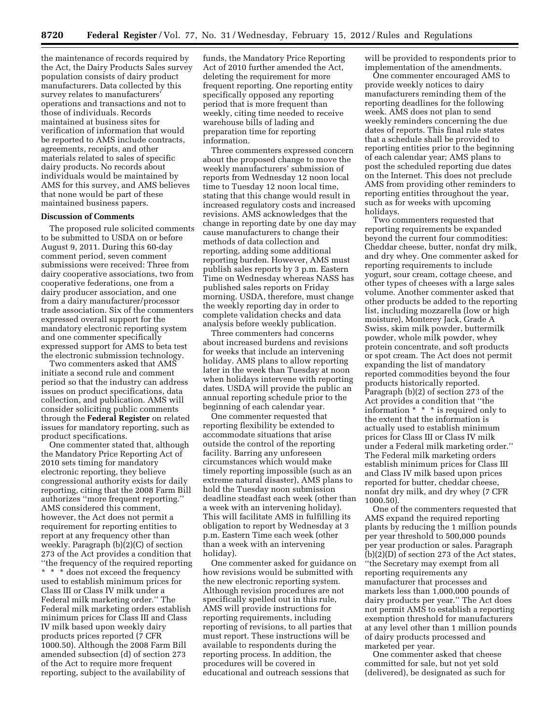the maintenance of records required by the Act, the Dairy Products Sales survey population consists of dairy product manufacturers. Data collected by this survey relates to manufacturers' operations and transactions and not to those of individuals. Records maintained at business sites for verification of information that would be reported to AMS include contracts, agreements, receipts, and other materials related to sales of specific dairy products. No records about individuals would be maintained by AMS for this survey, and AMS believes that none would be part of these maintained business papers.

#### **Discussion of Comments**

The proposed rule solicited comments to be submitted to USDA on or before August 9, 2011. During this 60-day comment period, seven comment submissions were received: Three from dairy cooperative associations, two from cooperative federations, one from a dairy producer association, and one from a dairy manufacturer/processor trade association. Six of the commenters expressed overall support for the mandatory electronic reporting system and one commenter specifically expressed support for AMS to beta test the electronic submission technology.

Two commenters asked that AMS initiate a second rule and comment period so that the industry can address issues on product specifications, data collection, and publication. AMS will consider soliciting public comments through the **Federal Register** on related issues for mandatory reporting, such as product specifications.

One commenter stated that, although the Mandatory Price Reporting Act of 2010 sets timing for mandatory electronic reporting, they believe congressional authority exists for daily reporting, citing that the 2008 Farm Bill authorizes ''more frequent reporting.'' AMS considered this comment, however, the Act does not permit a requirement for reporting entities to report at any frequency other than weekly. Paragraph (b)(2)(C) of section 273 of the Act provides a condition that ''the frequency of the required reporting \* \* \* does not exceed the frequency used to establish minimum prices for Class III or Class IV milk under a Federal milk marketing order.'' The Federal milk marketing orders establish minimum prices for Class III and Class IV milk based upon weekly dairy products prices reported (7 CFR 1000.50). Although the 2008 Farm Bill amended subsection (d) of section 273 of the Act to require more frequent reporting, subject to the availability of

funds, the Mandatory Price Reporting Act of 2010 further amended the Act, deleting the requirement for more frequent reporting. One reporting entity specifically opposed any reporting period that is more frequent than weekly, citing time needed to receive warehouse bills of lading and preparation time for reporting information.

Three commenters expressed concern about the proposed change to move the weekly manufacturers' submission of reports from Wednesday 12 noon local time to Tuesday 12 noon local time, stating that this change would result in increased regulatory costs and increased revisions. AMS acknowledges that the change in reporting date by one day may cause manufacturers to change their methods of data collection and reporting, adding some additional reporting burden. However, AMS must publish sales reports by 3 p.m. Eastern Time on Wednesday whereas NASS has published sales reports on Friday morning. USDA, therefore, must change the weekly reporting day in order to complete validation checks and data analysis before weekly publication.

Three commenters had concerns about increased burdens and revisions for weeks that include an intervening holiday. AMS plans to allow reporting later in the week than Tuesday at noon when holidays intervene with reporting dates. USDA will provide the public an annual reporting schedule prior to the beginning of each calendar year.

One commenter requested that reporting flexibility be extended to accommodate situations that arise outside the control of the reporting facility. Barring any unforeseen circumstances which would make timely reporting impossible (such as an extreme natural disaster), AMS plans to hold the Tuesday noon submission deadline steadfast each week (other than a week with an intervening holiday). This will facilitate AMS in fulfilling its obligation to report by Wednesday at 3 p.m. Eastern Time each week (other than a week with an intervening holiday).

One commenter asked for guidance on how revisions would be submitted with the new electronic reporting system. Although revision procedures are not specifically spelled out in this rule, AMS will provide instructions for reporting requirements, including reporting of revisions, to all parties that must report. These instructions will be available to respondents during the reporting process. In addition, the procedures will be covered in educational and outreach sessions that

will be provided to respondents prior to implementation of the amendments.

One commenter encouraged AMS to provide weekly notices to dairy manufacturers reminding them of the reporting deadlines for the following week. AMS does not plan to send weekly reminders concerning the due dates of reports. This final rule states that a schedule shall be provided to reporting entities prior to the beginning of each calendar year; AMS plans to post the scheduled reporting due dates on the Internet. This does not preclude AMS from providing other reminders to reporting entities throughout the year, such as for weeks with upcoming holidays.

Two commenters requested that reporting requirements be expanded beyond the current four commodities: Cheddar cheese, butter, nonfat dry milk, and dry whey. One commenter asked for reporting requirements to include yogurt, sour cream, cottage cheese, and other types of cheeses with a large sales volume. Another commenter asked that other products be added to the reporting list, including mozzarella (low or high moisture), Monterey Jack, Grade A Swiss, skim milk powder, buttermilk powder, whole milk powder, whey protein concentrate, and soft products or spot cream. The Act does not permit expanding the list of mandatory reported commodities beyond the four products historically reported. Paragraph (b)(2) of section 273 of the Act provides a condition that ''the information \* \* \* is required only to the extent that the information is actually used to establish minimum prices for Class III or Class IV milk under a Federal milk marketing order.'' The Federal milk marketing orders establish minimum prices for Class III and Class IV milk based upon prices reported for butter, cheddar cheese, nonfat dry milk, and dry whey (7 CFR 1000.50).

One of the commenters requested that AMS expand the required reporting plants by reducing the 1 million pounds per year threshold to 500,000 pounds per year production or sales. Paragraph (b)(2)(D) of section 273 of the Act states, ''the Secretary may exempt from all reporting requirements any manufacturer that processes and markets less than 1,000,000 pounds of dairy products per year.'' The Act does not permit AMS to establish a reporting exemption threshold for manufacturers at any level other than 1 million pounds of dairy products processed and marketed per year.

One commenter asked that cheese committed for sale, but not yet sold (delivered), be designated as such for